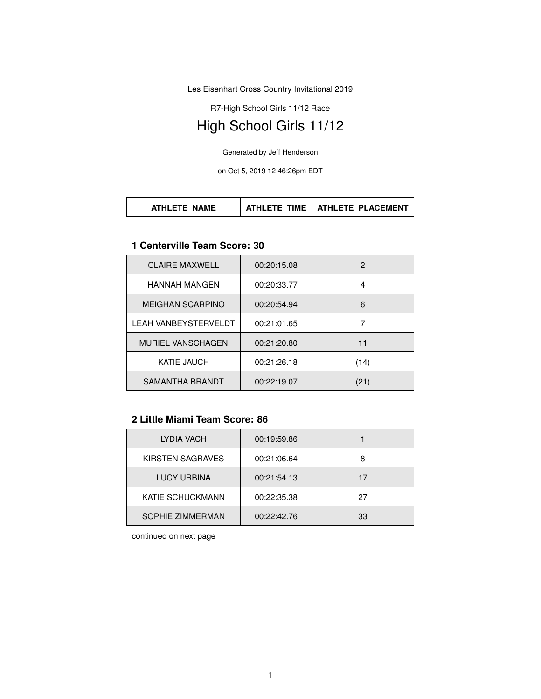Les Eisenhart Cross Country Invitational 2019

R7-High School Girls 11/12 Race

# High School Girls 11/12

Generated by Jeff Henderson

on Oct 5, 2019 12:46:26pm EDT

| <b>TIME</b><br>ATHLETE PLACEMENT<br><b>ATHLETE NAME</b><br>$\overline{a}$ athlete $\overline{a}$ |
|--------------------------------------------------------------------------------------------------|
|--------------------------------------------------------------------------------------------------|

#### **1 Centerville Team Score: 30**

| <b>CLAIRE MAXWELL</b>       | 00:20:15.08 | 2    |
|-----------------------------|-------------|------|
| <b>HANNAH MANGEN</b>        | 00:20:33.77 | 4    |
| <b>MEIGHAN SCARPINO</b>     | 00:20:54.94 | 6    |
| <b>LEAH VANBEYSTERVELDT</b> | 00:21:01.65 |      |
| <b>MURIEL VANSCHAGEN</b>    | 00:21:20.80 | 11   |
| <b>KATIE JAUCH</b>          | 00:21:26.18 | (14) |
| SAMANTHA BRANDT             | 00:22:19.07 | (21) |

# **2 Little Miami Team Score: 86**

| LYDIA VACH       | 00:19:59.86 |    |
|------------------|-------------|----|
| KIRSTEN SAGRAVES | 00:21:06.64 | 8  |
| LUCY URBINA      | 00:21:54.13 | 17 |
| KATIE SCHUCKMANN | 00:22:35.38 | 27 |
| SOPHIE ZIMMERMAN | 00:22:42.76 | 33 |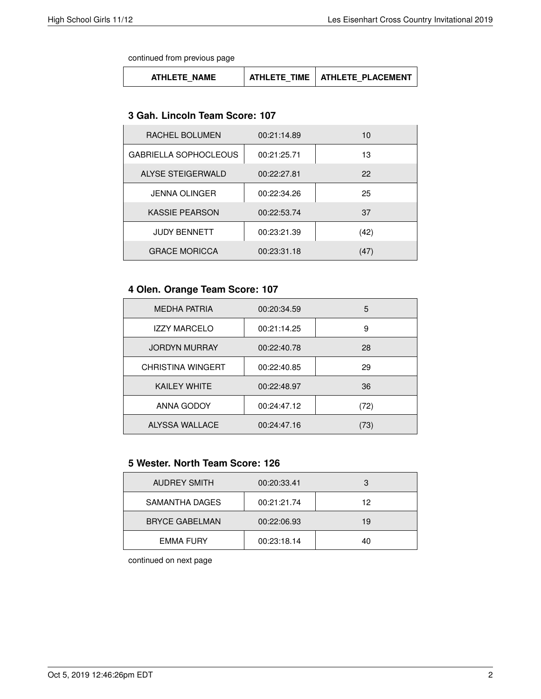continued from previous page

| ATHLETE NAME | TIME<br>ATHI FTF ' | <b>ATHLETE PLACEMENT</b> |
|--------------|--------------------|--------------------------|
|--------------|--------------------|--------------------------|

#### **3 Gah. Lincoln Team Score: 107**

| RACHEL BOLUMEN               | 00:21:14.89 | 10   |
|------------------------------|-------------|------|
| <b>GABRIELLA SOPHOCLEOUS</b> | 00:21:25.71 | 13   |
| ALYSE STEIGERWALD            | 00:22:27.81 | 22   |
| <b>JENNA OLINGER</b>         | 00:22:34.26 | 25   |
| <b>KASSIE PEARSON</b>        | 00:22:53.74 | 37   |
| <b>JUDY BENNETT</b>          | 00:23:21.39 | (42) |
| <b>GRACE MORICCA</b>         | 00:23:31.18 | (47) |

## **4 Olen. Orange Team Score: 107**

| <b>MEDHA PATRIA</b>      | 00:20:34.59 | 5    |
|--------------------------|-------------|------|
| <b>IZZY MARCELO</b>      | 00:21:14.25 | 9    |
| <b>JORDYN MURRAY</b>     | 00:22:40.78 | 28   |
| <b>CHRISTINA WINGERT</b> | 00:22:40.85 | 29   |
| <b>KAILEY WHITE</b>      | 00:22:48.97 | 36   |
| ANNA GODOY               | 00:24:47.12 | (72) |
| ALYSSA WALLACE           | 00:24:47.16 | 73)  |

#### **5 Wester. North Team Score: 126**

| <b>AUDREY SMITH</b>   | 00:20:33.41 |    |
|-----------------------|-------------|----|
| SAMANTHA DAGES        | 00:21:21.74 | 12 |
| <b>BRYCE GABELMAN</b> | 00:22:06.93 | 19 |
| <b>EMMA FURY</b>      | 00:23:18.14 | 40 |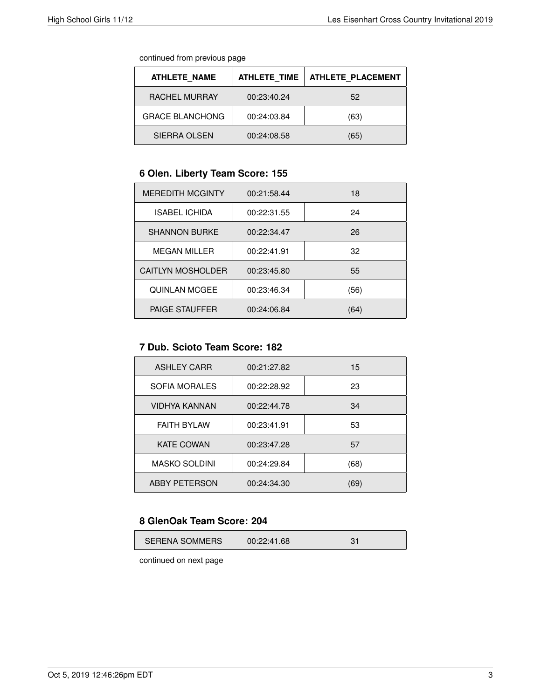continued from previous page

| <b>ATHLETE NAME</b>    | <b>ATHLETE TIME</b> | <b>ATHLETE PLACEMENT</b> |
|------------------------|---------------------|--------------------------|
| RACHEL MURRAY          | 00:23:40.24         | 52                       |
| <b>GRACE BLANCHONG</b> | 00:24:03.84         | (63)                     |
| SIERRA OLSEN           | 00:24:08.58         | (65)                     |

## **6 Olen. Liberty Team Score: 155**

| <b>MEREDITH MCGINTY</b>  | 00:21:58.44 | 18   |
|--------------------------|-------------|------|
| <b>ISABEL ICHIDA</b>     | 00:22:31.55 | 24   |
| <b>SHANNON BURKE</b>     | 00:22:34.47 | 26   |
| <b>MEGAN MILLER</b>      | 00:22:41.91 | 32   |
| <b>CAITLYN MOSHOLDER</b> | 00:23:45.80 | 55   |
| <b>QUINLAN MCGEE</b>     | 00:23:46.34 | (56) |
| <b>PAIGE STAUFFER</b>    | 00:24:06.84 | (64) |

#### **7 Dub. Scioto Team Score: 182**

| <b>ASHLEY CARR</b>   | 00:21:27.82 | 15   |
|----------------------|-------------|------|
| SOFIA MORALES        | 00:22:28.92 | 23   |
| <b>VIDHYA KANNAN</b> | 00:22:44.78 | 34   |
| <b>FAITH BYLAW</b>   | 00:23:41.91 | 53   |
| <b>KATE COWAN</b>    | 00:23:47.28 | 57   |
| <b>MASKO SOLDINI</b> | 00:24:29.84 | (68) |
| <b>ABBY PETERSON</b> | 00:24:34.30 | (69) |

#### **8 GlenOak Team Score: 204**

| <b>SERENA SOMMERS</b> | 00:22:41.68 |  |
|-----------------------|-------------|--|
|-----------------------|-------------|--|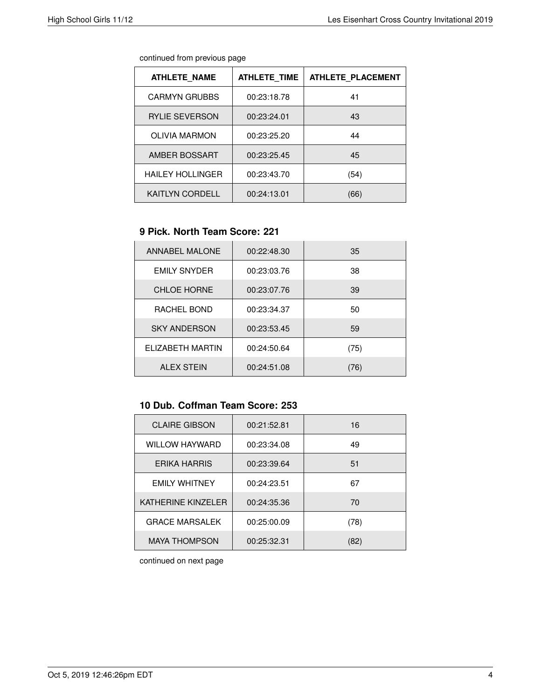| <b>ATHLETE NAME</b>     | <b>ATHLETE TIME</b> | <b>ATHLETE PLACEMENT</b> |
|-------------------------|---------------------|--------------------------|
| <b>CARMYN GRUBBS</b>    | 00:23:18.78         | 41                       |
| <b>RYLIE SEVERSON</b>   | 00:23:24.01         | 43                       |
| <b>OLIVIA MARMON</b>    | 00:23:25.20         | 44                       |
| AMBER BOSSART           | 00:23:25.45         | 45                       |
| <b>HAILEY HOLLINGER</b> | 00:23:43.70         | (54)                     |
| <b>KAITLYN CORDELL</b>  | 00:24:13.01         | (66)                     |

#### **9 Pick. North Team Score: 221**

| <b>ANNABEL MALONE</b> | 00:22:48.30 | 35   |
|-----------------------|-------------|------|
| <b>EMILY SNYDER</b>   | 00:23:03.76 | 38   |
| <b>CHLOE HORNE</b>    | 00:23:07.76 | 39   |
| RACHEL BOND           | 00:23:34.37 | 50   |
| <b>SKY ANDERSON</b>   | 00:23:53.45 | 59   |
| FI IZABETH MARTIN     | 00:24:50.64 | (75) |
| <b>ALEX STEIN</b>     | 00:24:51.08 | (76) |

# **10 Dub. Coffman Team Score: 253**

| <b>CLAIRE GIBSON</b>  | 00:21:52.81 | 16   |
|-----------------------|-------------|------|
| <b>WILLOW HAYWARD</b> | 00:23:34.08 | 49   |
| <b>ERIKA HARRIS</b>   | 00:23:39.64 | 51   |
| <b>FMILY WHITNEY</b>  | 00:24:23.51 | 67   |
| KATHERINE KINZELER    | 00:24:35.36 | 70   |
| <b>GRACE MARSALEK</b> | 00:25:00.09 | (78) |
| <b>MAYA THOMPSON</b>  | 00:25:32.31 | (82) |